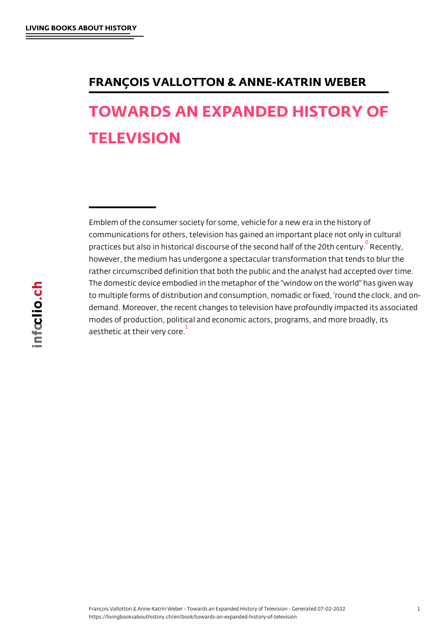## <span id="page-0-0"></span>TOWARDS AN EXPANDED HISTORY **TELEVISION**

Emblem of the consumer society for some, vehicle for a new era in t communications for others, television has gained an important place practices but also in historical discourse of the sec $\alpha$  and the 20th century. Recentury of the 2 however, the medium has undergone a spectacular transformation th rather circumscribed definition that both the public and the analyst T[h](#page-12-0)e domestic device embodied in the metaphor of the "window on the to multiple forms of distribution and consumption, nomadic or fixed, demand. Moreover, the recent changes to television have profoundly modes of production, political and economic actors, programs, and n aesthetic at their very core.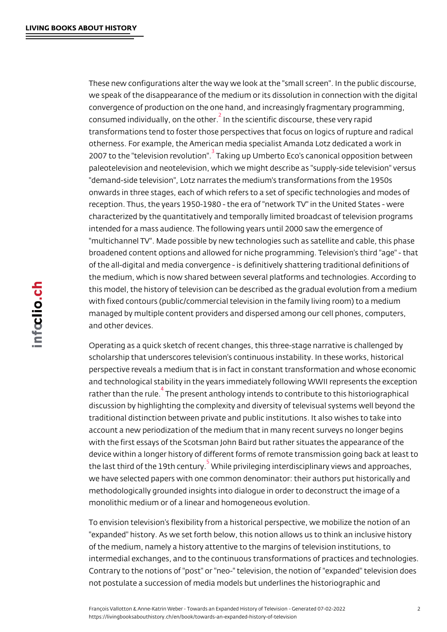<span id="page-1-0"></span>These new configurations alter the way we look at the "small screen" we speak of the disappearance of the medium or its dissolution in co convergence of production on the one hand, and increasingly fragme consumed individually, on the constant if is discourse, these very rapid consumed transformations tend to foster those perspectives that focus on logic otherness. For example, the American media specialist Amanda Lotz 2007 to the "television<sup>3</sup> [r](#page-12-0)eavoilnugioump" Umberto Eco's canonical oppositic paleotelevision and neotelevision, which we might describe as "supp "demand-side television", Lotz narrates the medium's transformation onwards in three stag[es](#page-12-0), each of which refers to a set of specific te reception. Thus, the years 1950-1980 - the era of "network TV" in th characterized by the quantitatively and temporally limited broadcast intended for a mass audience. The following years until 2000 saw th "multichannel TV". Made possible by new technologies such as satel broadened content options and allowed for niche programming. Telev of the all-digital and media convergence - is definitively shattering the medium, which is now shared between several platforms and tech this model, the history of television can be described as the gradua with fixed contours (public/commercial television in the family living managed by multiple content providers and dispersed among our cell and other devices.

Operating as a quick sketch of recent changes, this three-stage nari scholarship that underscores television s continuous instability. In t perspective reveals a medium that is in fact in constant transformat and technological stability in the years immediately following WWII rather than the Thue epire sent anthology intends to contribute to this hi discussion by highlighting the complexity and diversity of televisual traditional distinction between private and public institutions. It als account a ne[w](#page-12-0) periodization of the medium that in many recent surve with the first essays of the Scotsman John Baird but rather situates device within a longer history of different forms of remote transmiss the last third of the 1 $\frac{5}{9}$  fM hoiben tpurriy ileging interdisciplinary views and we have selected papers with one common denominator: their author methodologically grounded insights into dialogue in order to deconstructed monolithic medium or [o](#page-12-0)f a linear and homogeneous evolution.

To envision television s flexibility from a historical perspective, we "expanded" history. As we set forth below, this notion allows us to t of the medium, namely a history attentive to the margins of television intermedial exchanges, and to the continuous transformations of pra Contrary to the notions of "post" or "neo-" television, the notion of not postulate a succession of media models but underlines the histo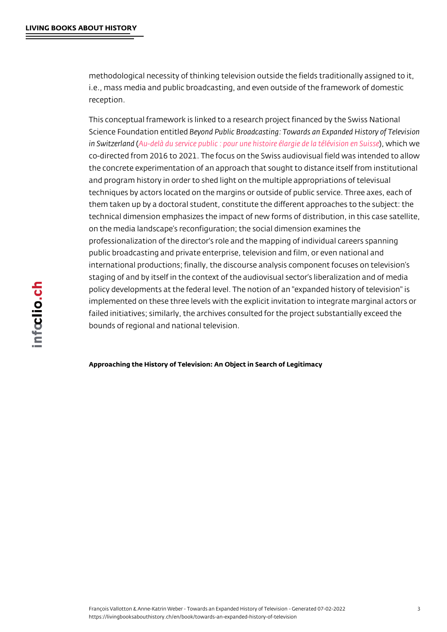methodological necessity of thinking television outside the fields traditional i.e., mass media and public broadcasting, and even outside of the fr reception.

This conceptual framework is linked to a research project financed b Science Foundation Beyot bind bed Public Broadcasting: Towards an Expande in Switze(Alanddelà du servipooeurpuuboleichistoire élargie de l)a wiéhliécwhiswioen en co-directed from 2016 to 2021. The focus on the Swiss audiovisual f the concrete experimentation of an approach that sought to distance and prog[ram history in order to shed light on the mult](http://www.unil.ch/tvelargie)iple appropriat techniques by actors located on the margins or outside of public ser them taken up by a doctoral student, constitute the different approa technical dimension emphasizes the impact of new forms of distribut on the media landscape s reconfiguration; the social dimension exam professionalization of the director's role and the mapping of individent public broadcasting and private enterprise, television and film, or e international productions; finally, the discourse analysis component staging of and by itself in the context of the audiovisual sector s lit policy developments at the federal level. The notion of an "expanded implemented on these three levels with the explicit invitation to inte failed initiatives; similarly, the archives consulted for the project su bounds of regional and national television.

Approaching the History of Television: An Object in Search of Legitimacy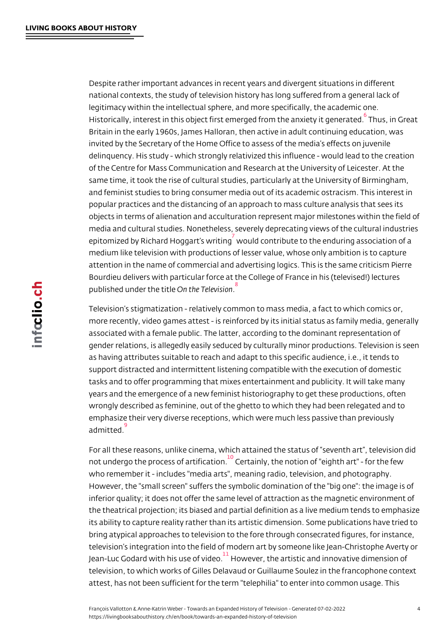<span id="page-3-0"></span>Despite rather important advances in recent years and divergent situations in the national contexts, the study of television history has long suffered f legitimacy within the intellectual sphere, and more specifically, the Historically, interest in this object first emerged fro $\frac{6}{n}$ h the  $\frac{2}{n}$  anxiect gatit Britain in the early 1960s, James Halloran, then active in adult cont invited by the Secretary of the Home Office to assess of the media s delinquency.His study - which strongly relativized this influence - v of the Centre for Mass Communication and Research at the Universit same time, it took the rise of cultural studies, particularly at the Un and feminist studies to bring consumer media out of its academic os popular practices and the distancing of an approach to mass culture objects in terms of alienation and acculturation represent major mile media and cultural studies. Nonetheless, severely deprecating views epitomized by Richard Hoggawn tus dwo in ingibute to the enduring association of a structure of a structure of a structure  $\frac{7}{10}$  and  $\frac{7}{10}$  and  $\frac{7}{10}$  and  $\frac{7}{10}$  and  $\frac{7}{10}$  and  $\frac{7}{10}$  and  $\frac{7}{10$ medium like television with productions of lesser value, whose only attention in the name of commercial and advertising logics. This is t Bourdieu delivers wi[t](#page-12-0)h particular force at the College of France in h published under **Ohnethiel d**elevision

Television s stigmatization - relatively common to mass media, a fact more recently, video game[s](#page-12-0) attest - is reinforced by its initial status associated with a female public. The latter, according to the domina gender relations, is allegedly easily seduced by culturally minor pro as having attributes suitable to reach and adapt to this specific aud support distracted and intermittent listening compatible with the exe tasks and to offer programming that mixes entertainment and publici years and the emergence of a new feminist historiography to get the wrongly described as feminine, out of the ghetto to which they had be emphasize their very diverse receptions, which were much less pass admitted.

For all these reasons, unlike cinema, which attained the status of s not un[d](#page-12-0)ergo the process of  $6$  etit the aty on the notion of "eighth art" - for who remember it - includes "media arts", meaning radio, television, However, the "small screen" suffers the symbolic domination of the inferi[o](#page-12-0)r quality; it does not offer the same level of attraction as the the theatrical projection; its biased and partial definition as a live r its ability to capture reality rather than its artistic dimension. Some bring atypical approaches to television to the fore through consecra television s integration into the field of modern art by someone like Jean-Luc Godard with his ulst we we redet the artistic and innovative dimen television, to which works of Gilles Delavaud or Guillaume Soulez in attest, has not been suff[ic](#page-12-0)ient for the term "telephilia" to enter into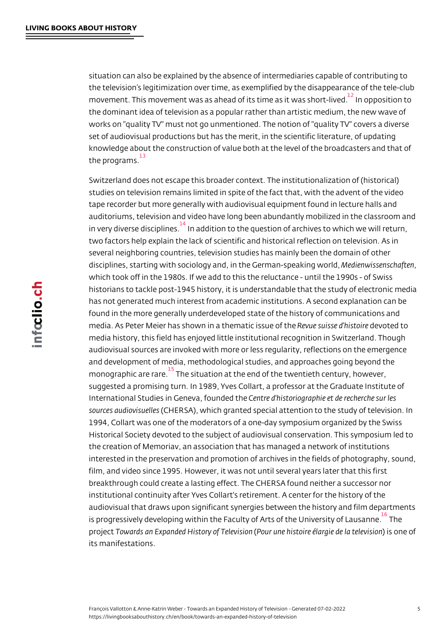<span id="page-4-0"></span>situation can also be explained by the absence of intermediaries capable of the television s legitimization over time, as exemplified by the disap movement. This movement was as ahead of its  $t^{12}$  hen acsp pto wit is o shotcort-limen and  $t^{12}$ the dominant idea of television as a popular rather than artistic med works on "quality TV" must not go unmentioned. The notion of "quali set of audiovisual productions but has the meri[t,](#page-12-0) in the scientific lit knowledge about the construction of value both at the level of the b the programs. 13

Switzerland does not escape this broader context. The institutionali studies o[n](#page-13-0) television remains limited in spite of the fact that, with t tape recorder but more generally with audiovisual equipment found i auditoriums, television and video have long been abundantly mobiliz in very diverse dischpaidhdeistion to the question of archives to which w two factors help explain the lack of scientific and historical reflecti several neighboring countries, television studies has mainly been th disciplines, star[ti](#page-13-0)ng with sociology and, in the Meedrime a wispeak chap fwom which took off in the 1980s. If we add to this the reluctance - until t historians to tackle post-1945 history, it is understandable that the has not generated much interest from academic institutions. A secor found in the more generally underdeveloped state of the history of c media. As Peter Meier has shown in a the muaetic uitss sueed to hid shot each repo media history, this field has enjoyed little institutional recognition i audiovisual sources are invoked with more or less regularity, reflect and development of media, methodological studies, and approaches monographic are Transesituation at the end of the twentieth century, however,  $\frac{15}{100}$ suggested a promising turn. In 1989, Yves Collart, a professor at th International Studies in Gene $\mathcal C$ æ, n**toe**undd bedstobeiographies uent lobes recherch sources audio $\sqrt{C}$ stueRSA), which granted special attention to the stud 1994, Collart was one of the moderators of a one-day symposium org Historical Society devoted to the subject of audiovisual conservation the creation of Memoriav, an association that has managed a networ interested in the preservation and promotion of archives in the field film, and video since 1995. However, it was not until several years I breakthrough could create a lasting effect. The CHERSA found neith institutional continuity after Yves Collart's retirement. A center for audiovisual that draws upon significant synergies between the histor is progressively developing within the Faculty of Arts of The Univers proje Totowards an Expanded HistpPoyuro funTeelheivsitsciborne élargi)ei**s**leo nhae toeflevi its manifestations.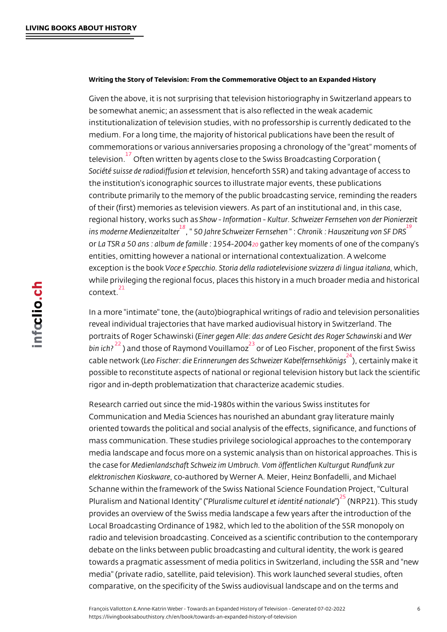<span id="page-5-0"></span>Writing the Story of Television: From the Commemorative Object to an Expanded F

Given the above, it is not surprising that television historiography i be somewhat anemic; an assessment that is also reflected in the we institutionalization of television studies, with no professorship is cu medium. For a long time, the majority of historical publications have commemorations or various anniversaries proposing a chronology of television. ften written by agents close to the Swiss Broadcasting Co Société suisse de radiodif, fun seinome entrible SBR oand taking advantage of the institution's iconographic sources to illustrate major events, the contri[bu](#page-13-0)te primarily to the memory of the public broadcasting servic of their (first) memories as television viewers. As part of an institut regional history, wor & bosw chlmafsormation - Kultur. Schweizer Fernsehen ins moderne Medign **Eveidahteer** Schweize " CHT om sike he haus zei Suf nich RS orLa TSR a 50 ans : album de éa **g**onaithheer kto 654-4m-200m0e4nts of one of the co entities, omitting however a national or international contextualizati ex[c](#page-13-0)eption is the obeoek Specchio. Storia della radiotelevision me cshyizzer while privileging the regional [fo](#page-13-0)cus, places this history in a much bi context. 21

In a more "intimate" tone, the (auto)biographical writings of radio and television personalities. revea[l](#page-13-0) individual trajectories that have marked audiovisual history i portraits of Roger Schawingschige (n Alle: das andere Gesicalmit Moders Roger bin  $i\epsilon^2$  and those of Raymond<sup>23</sup> Vocuoiflam on  $z$  Fischer, proponent of the f cable netwLoerok Fischer: die Erinnerungen des SchweizertaKnalbyen foeknesieth possible to reconstitute aspects of national or regional television hi rigorand in-depth problemati[z](#page-13-0)ation that charac[te](#page-13-0)rize academic stud

Research carried out since the mid-1980s within the various Swiss i Communication and Media Sciences has nourished an abundant gray oriented towards the political and social analysis of the effects, sig mass communication. These studies privilege sociological approache media landscape and focus more on a systemic analysis than on hist the case Mfeodrienlandschaft Schweiz im Umbruch. Vom öffentlichen Kul elektronischen Kicoskware ed by Werner A. Meier, Heinz Bonfadelli, and Michaelli, and Michaelli, and Michaelli, a Schanne within the framework of the Swiss National Science Founda Pluralism and NationalP**lu**e antitistion" ( culture l et id  $\frac{25}{5}$ n (tNt the Pr $2$ alt) ion This study provides an overview of the Swiss media landscape a few years afte Local Broadcasting Ordinance of 1982, which led to the abolition of radio and television broadc[as](#page-13-0)ting. Conceived as a scientific contribution debate on the links between public broadcasting and cultural identit towards a pragmatic assessment of media politics in Switzerland, in media" (private radio, satellite, paid television). This work launched comparative, on the specificity of the Swiss audiovisual landscape a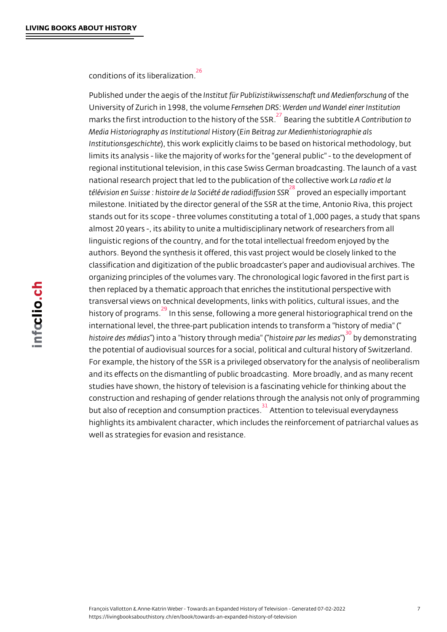<span id="page-6-0"></span>conditions of its liberalization. 26

Published under the degist of führe Publizistikwissenschaft of mid e Medien Universityof Zurich in 199 Bernhse hem under S: Werden und Wandel einer marks the first introduction to the  $^{27}_{h}$  iBstearny noof the SAUSMR of the ibution to Media Historiography as Ins Eitnut Boen arla bliz toor Medienhistoriographie al Institutionsge), schhicht weork explicitly claims to be based on historical lim[it](#page-13-0)s its analysis - like the majority of works for the "general publiregional institutional television, in this case Swiss German broadcas national research project that led to the publicaliam adiohet dallective télévision en Suisse : histoire de la Ŝõpcri**étée de araedsipedicifieu byioinm pSo**SnRan milestone. Initiated by the director general of the SSR at the time, Antionio stands out for its scope - three volumes constituting a total of 1,000 almost 20 years -, its ability to unit[e](#page-13-0) a multidisciplinary network of linguistic regions of the country, and for the total intellectual freed authors. Beyond the synthesis it offered, this vast project would be classification and digitization of the public broadcaster s paper and organizing principles of the volumes vary. The chronological logic fa then replaced by a thematic approach that enriches the institutional transversal views on technical developments, links with politics, cul history of progrlammtshis sense, following a more general historiograph international level, the three-part publication intends to transform a histoire des) miéndoia**s** "history throu**hgistonierelip** "and les boyendieams on strating the potential [o](#page-13-0)f audiovisual sources for a social, political and cultural For example, the history of the SSR is a privileged observatory for t [a](#page-14-0)nd its effects on the dismantling of public broadcasting. More broa studies have shown, the history of television is a fascinating vehicle construction and reshaping of gender relations through the analysis but also of reception and consumpaton ant to exaction the existial every day ne highlights its ambivalent character, which includes the reinforcemen well as strategies for evasion a[n](#page-14-0)d resistance.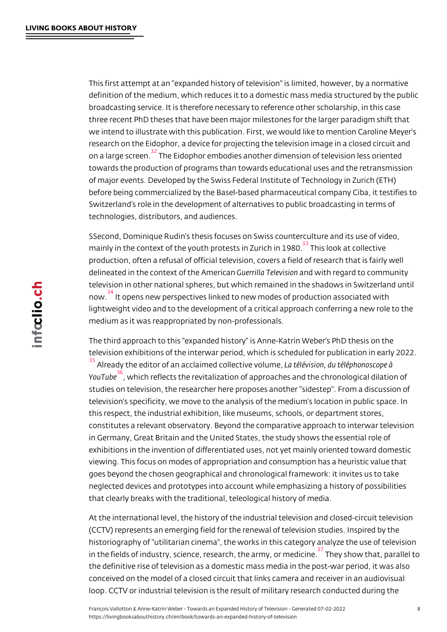<span id="page-7-0"></span>This first attempt at an "expanded history of television" is limited, h definition of the medium, which reduces it to a domestic mass media broadcasting service. It is therefore necessary to reference other so three recent PhD theses that have been major milestones for the lar we intend to illustrate with this publication. First, we would like to research on the Eidophor, a device for projecting the television image on a large scrTeheen Eidophor embodies another dimension of television towards the production of programs than towards educational uses a of major events. Developed by the Swiss Federal Institute of Techno before bein[g](#page-14-0) commercialized by the Basel-based pharmaceutical com Switzerland s role in the development of alternatives to public broad technologies, distributors, and audiences.

SSecond, Dominique Rudin's thesis focuses on Swiss counterculture mainly in the context of the youth protests hims  $\mathbb{Z}$  outh  $\mathbb{Z}$  at  $\mathbb{Z}$  at  $\mathbb{Z}$  at collection  $\mathbb{Z}$ production, often a refusal of official television, covers a field of re delineated in the context of GtuheernAimhaerToe abean volst with regard to community television in other national spheres, b[ut](#page-14-0) which remained in the shad now. It opens new perspectives linked to new modes of production a lightweight video and to the development of a critical approach conf me[di](#page-14-0)um as it was reappropriated by non-professionals.

The third approach to this "expanded history" is Anne-Katrin Weber' television exhibitions of the interwar period, which is scheduled for  $\frac{35}{3}$  Already the editor of an acclaimed Laoté dé time eo no dume éléphonoscope YouTube which reflects the revitalization of approaches and the chror studies on television, the researcher here proposes another "sideste [te](#page-14-0)levision's specificity, we move to the analysis of the medium's loc this [re](#page-14-0)spect, the industrial exhibition, like museums, schools, or department constitutes a relevant observatory. Beyond the comparative approac in Germany, Great Britain and the United States, the study shows th exhibitions in the invention of differentiated uses, not yet mainly or viewing. This focus on modes of appropriation and consumption has goes beyond the chosen geographical and chronological framework: neglected devices and prototypes into account while emphasizing a that clearly breaks with the traditional, teleological history of media.

At the international level, the history of the industrial television and (CCTV) represents an emerging field for the renewal of television st historiography of "utilitarian cinema", the works in this category ana in the fields of industry, science, research, The yas my wo than te opiar na elel the definitive rise of television as a domestic mass media in the pos conceived on the model of a closed circuit that links camera and rec loop. CCTV or industrial television is the [re](#page-14-0)sult of military research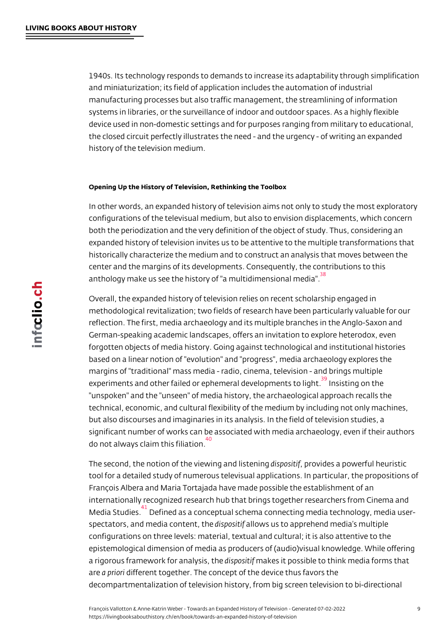<span id="page-8-0"></span>1940s. Its technology responds to demands to increase its adaptabil and miniaturization; its field of application includes the automation manufacturing processes but also traffic management, the streamlining systems in libraries, or the surveillance of indoor and outdoor space device used in non-domestic settings and for purposes ranging from the closed circuit perfectly illustrates the need - and the urgency history of the television medium.

## Opening Up the History of Television, Rethinking the Toolbox

In other words, an expanded history of television aims not only to st configurations of the televisual medium, but also to envision displac both the periodization and the very definition of the object of study. expanded history of television invites us to be attentive to the multi historically characterize the medium and to construct an analysis th center and the margins of its developments. Consequently, the contr anthology make us see the history of "a multidimensional media".

Overall, the expanded history of television relies on recent scholars methodological revitalization; two fields o[f](#page-14-0) research have been parti reflection. The first, media archaeology and its multiple branches in German-speaking academic landscapes, offers an invitation to explo forgotten objects of media history. Going against technological and based on a linear notion of "evolution" and "progress", media archae margins of "traditional" mass media - radio, cinema, television - and experiments and other failed or ephemeral developing not a to elight. "unspoken" and the "unseen" of media history, the archaeological ap technical, economic, and cultural flexibility of the medium by includ but [a](#page-14-0)lso discourses and imaginaries in its analysis. In the field of  $t \in \mathbb{R}$ significant number of works can be associated with media archaeolo do not always claim this filiation. 40

The second, the notion of the viewdin**sg** oasni**p**linf bivs it deen singa powerful heuristi tool for a detailed st[ud](#page-14-0)y of numerous televisual applications. In part François Albera and Maria Tortajada have made possible the establi internationally recognized research hub that brings together researc Media Studi**D**sfined as a conceptual schema connecting media techno spectators, and media cobi**speonstiatlitionue**s us to apprehend media s multipl configurations on three levels: material, textual and cultural; it is a epistem[o](#page-14-0)logical dimension of media as producers of (audio)visual kn a rigorous framework for dainsaploy **sintsi** the disposible to think media form area priodnifferent together. The concept of the device thus favors the decompartmentalization of television history, from big screen televis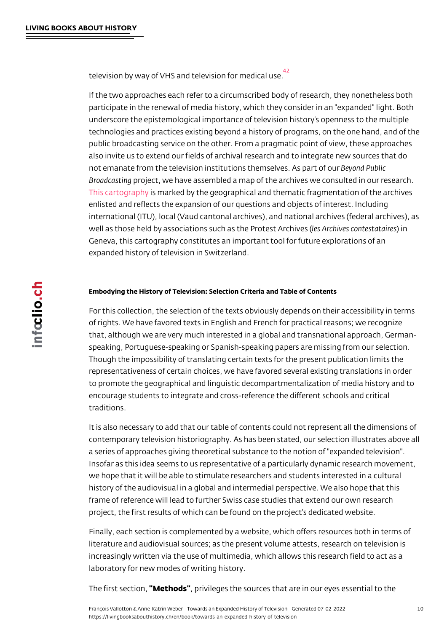<span id="page-9-0"></span>television by way of VHS and television for medical use. 42

If the two approaches each refer to a circumscribed body of researc participate in t[h](#page-14-0)e renewal of media history, which they consider in a underscore the epistemological importance of television history s op technologies and practices existing beyond a history of programs, o public broadcasting service on the other. From a pragmatic point of also invite us to extend our fields of archival research and to integr not emanate from the television institutions th**eme se** hude **P**ublisic part of our Broadcaspting gect, we have assembled a map of the archives we consult This cartogriaphy arked by the geographical and thematic fragmentation enlisted and reflects the expansion of our questions and objects of international (ITU), local (Vaud cantonal archives), and national arc [well as tho](https://wp.unil.ch/tvelargie/cartographie-des-archives/)se held by associations such alse sthear Phrioteess to Annotensive baires Geneva, this cartography constitutes an important tool for future ex expanded history of television in Switzerland.

Embodying the History of Television: Selection Criteria and Table of Contents

For this collection, the selection of the texts obviously depends on of rights. We have favored texts in English and French for practical that, although we are very much interested in a global and transnati speaking, Portuguese-speaking or Spanish-speaking papers are miss Though the impossibility of translating certain texts for the present representativeness of certain choices, we have favored several exis to promote the geographical and linguistic decompartmentalization o encourage students to integrate and cross-reference the different sc traditions.

It is also necessary to add that our table of contents could not represent contemporary television historiography. As has been stated, our sele a series of approaches giving theoretical substance to the notion of Insofar as this idea seems to us representative of a particularly dyn we hope that it will be able to stimulate researchers and students in history of the audiovisual in a global and intermedial perspective. W frame of reference will lead to further Swiss case studies that exten project, the first results of which can be found on the project s dedi

Finally, each section is complemented by a website, which offers res literature and audiovisual sources; as the present volume attests, re increasingly written via the use of multimedia, which allows this res laboratory for new modes of writing history.

The first se" Mext in od, s' privileges the sources that are in our eyes esse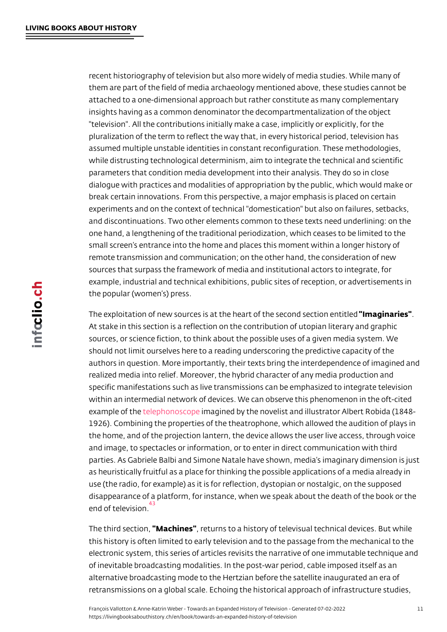recent historiography of television but also more widely of media stu them are part of the field of media archaeology mentioned above, the attached to a one-dimensional approach but rather constitute as mar insights having as a common denominator the decompartmentalizatio "television". All the contributions initially make a case, implicitly or pluralization of the term to reflect the way that, in every historical assumed multiple unstable identities in constant reconfiguration. Th while distrusting technological determinism, aim to integrate the tec parameters that condition media development into their analysis. Th dialogue with practices and modalities of appropriation by the public break certain innovations. From this perspective, a major emphasis experiments and on the context of technical "domestication" but also and discontinuations. Two other elements common to these texts nee one hand, a lengthening of the traditional periodization, which cease small screen s entrance into the home and places this moment within remote transmission and communication; on the other hand, the cons sources that surpass the framework of media and institutional actors example, industrial and technical exhibitions, public sites of reception, the popular (women s) press.

The exploitation of new sources is at the heart of "the entimed ssection". At stake in this section is a reflection on the contribution of utopiar sources, or science fiction, to think about the possible uses of a given should not limit ourselves here to a reading underscoring the predic authors in question. More importantly, their texts bring the interdep realized media into relief. Moreover, the hybrid character of any me specific manifestations such as live transmissions can be emphasize within an intermedial network of devices. We can observe this phenc example of ethe thonoscompagined by the novelist and illustrator Albert 1926). Combining the properties of the theatrophone, which allowed the home, and of the projection lantern, the device allows the user I and imag[e, to specta](https://fr.wikipedia.org/wiki/Téléphonoscope#/media/Fichier:Robida_telephonoscope.jpg)cles or information, or to enter in direct commu parties. As Gabriele Balbi and Simone Natale have shown, media s i as heuristically fruitful as a place for thinking the possible applicat use (the radio, for example) as it is for reflection, dystopian or nost disappearance of a platform, for instance, when we speak about the end of television. 43

The third se"dMiacon, ines returns to a history of televisual technical dev this histor[y](#page-14-0) is often limited to early television and to the passage fr electronic system, this series of articles revisits the narrative of on of inevitable broadcasting modalities. In the post-war period, cable alternative broadcasting mode to the Hertzian before the satellite in retransmissions on a global scale. Echoing the historical approach o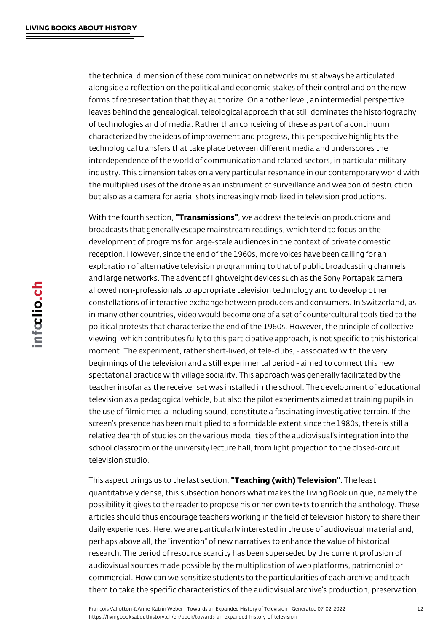the technical dimension of these communication networks must always be articulated alongside a reflection on the political and economic stakes of their control and on the new forms of representation that they authorize. On another level, an intermedial perspective leaves behind the genealogical, teleological approach that still dominates the historiography of technologies and of media. Rather than conceiving of these as part of a continuum characterized by the ideas of improvement and progress, this perspective highlights the technological transfers that take place between different media and underscores the interdependence of the world of communication and related sectors, in particular military industry. This dimension takes on a very particular resonance in our contemporary world with the multiplied uses of the drone as an instrument of surveillance and weapon of destruction but also as a camera for aerial shots increasingly mobilized in television productions.

With the fourth section, "Transmissions", we address the television productions and broadcasts that generally escape mainstream readings, which tend to focus on the development of programs for large-scale audiences in the context of private domestic reception. However, since the end of the 1960s, more voices have been calling for an exploration of alternative television programming to that of public broadcasting channels and large networks. The advent of lightweight devices such as the Sony Portapak camera allowed non-professionals to appropriate television technology and to develop other constellations of interactive exchange between producers and consumers. In Switzerland, as in many other countries, video would become one of a set of countercultural tools tied to the political protests that characterize the end of the 1960s. However, the principle of collective viewing, which contributes fully to this participative approach, is not specific to this historical moment. The experiment, rather short-lived, of tele-clubs, - associated with the very beginnings of the television and a still experimental period - aimed to connect this new spectatorial practice with village sociality. This approach was generally facilitated by the teacher insofar as the receiver set was installed in the school. The development of educational television as a pedagogical vehicle, but also the pilot experiments aimed at training pupils in the use of filmic media including sound, constitute a fascinating investigative terrain. If the screen's presence has been multiplied to a formidable extent since the 1980s, there is still a relative dearth of studies on the various modalities of the audiovisual's integration into the school classroom or the university lecture hall, from light projection to the closed-circuit television studio.

This aspect brings us to the last section, "Teaching (with) Television". The least quantitatively dense, this subsection honors what makes the Living Book unique, namely the possibility it gives to the reader to propose his or her own texts to enrich the anthology. These articles should thus encourage teachers working in the field of television history to share their daily experiences. Here, we are particularly interested in the use of audiovisual material and, perhaps above all, the "invention" of new narratives to enhance the value of historical research. The period of resource scarcity has been superseded by the current profusion of audiovisual sources made possible by the multiplication of web platforms, patrimonial or commercial. How can we sensitize students to the particularities of each archive and teach them to take the specific characteristics of the audiovisual archive's production, preservation,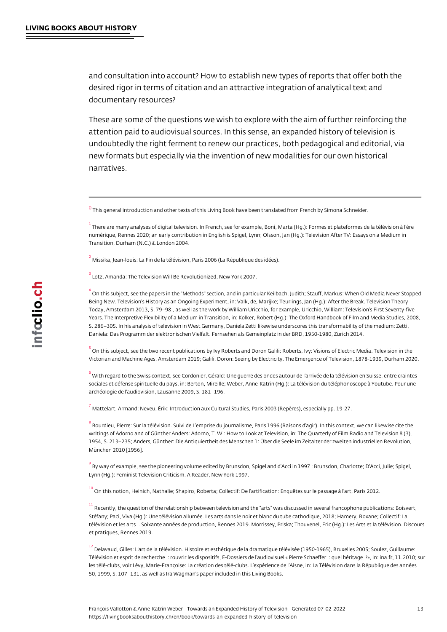<span id="page-12-0"></span>and consultation into account? How to establish new types of report desired rigor in terms of citation and an attractive integration of an documentary resources?

These are some of the questions we wish to explore with the aim of attention paid to audiovisual sources. In this sense, an expanded hi undoubtedly the right ferment to renew our practices, both pedagogi new formats but especially via the invention of new modalities for o narratives.

 $^0$  This general introduction and other texts of this Living Book have been translated from French by S

 $^{\rm 1}$  There are many analyses of digital television. In French, see for example, Boni, Marta (Hg.): Forme numérique, Rennes 2020; an early contribution in English is Spigel, Lynn; Olsson, Jan (Hg.): Televisi [T](#page-0-0)ransition, Durham (N.C.) & London 2004.

 $^2$  $^2$  Missika, Jean-louis: La Fin de la télévision, Paris 2006 (La République des idées).

Lotz, Amanda: The Television Will Be Revolutionized, New York 2007. 3

 $^4$  $^4$  On this subject, see the papers in the "Methods" section, and in particular Keilbach, Judith; Stauff, Being New. Television s History as an Ongoing Experiment, in: Valk, de, Marijke; Teurlings, Jan (Hg. [T](#page-1-0)oday, Amsterdam 2013, S. 79 98., as well as the work by William Uricchio, for example, Uricchio, W Years. The Interpretive Flexibility of a Medium in Transition, in: Kolker, Robert (Hg.): The Oxford Ha [S](#page-1-0). 286 305. In his analysis of television in West Germany, Daniela Zetti likewise underscores this tra Daniela: Das Programm der elektronischen Vielfalt. Fernsehen als Gemeinplatz in der BRD, 1950-1986

 $^{\rm 5}$  On this subject, see the two recent publications by Ivy Roberts and Doron Galili: Roberts, Ivy: Visio Victorian and Machine Ages, Amsterdam 2019; Galili, Doron: Seeing by Electricity. The Emergence of

 $^6$  With regard to the Swiss context, see Cordonier, Gérald: Une guerre des ondes autour de larrivée d [s](#page-1-0)ociales et défense spirituelle du pays, in: Berton, Mireille; Weber, Anne-Katrin (Hg.): La télévision archéologie de l audiovision, Lausanne 2009, S. 181 196.

 $^7$  $^7$  Mattelart, Armand; Neveu, Érik: Introduction aux Cultural Studies, Paris 2003 (Repères), especially

 $^8$  Bourdieu, Pierre: Sur la télévision. Suivi de L emprise du journalisme, Paris 1996 (Raisons d agir). writings of Adorno and of Günther Anders: Adorno, T. W.: How to Look at Television, in: The Quarterl [1](#page-3-0)954, S. 213 235; Anders, Günther: Die Antiquiertheit des Menschen 1: Über die Seele im Zeitalter de München 2010 [1956].

 $^9$  By way of example, see the pioneering volume edited by Brunsdon, Spigel and d Acci in 1997 : Brun Lynn (Hg.): Feminist Television Criticism. A Reader, New York 1997.

 $^{\rm 10}$  On this notion, Heinich, Nathalie; Shapiro, Roberta; Collectif: De l artification: Enquêtes sur le pas

 $11$  Recently, the question of the relationship between television and the arts was discussed in several francophone publications: Botanications: Boisvert, Boisvert, Boisvert, Boisvert, Boisvert, Boisvert, Boisvert, Boisv Stéfany; Paci, Viva (Hg.): Une télévision allumée. Les arts dans le noir et blanc du tube cathodique, [t](#page-3-0)élévision et les arts/. Soixante années de production, Rennes 2019. Morrissey, Priska; Thouvenel, E et pratiques, Rennes 2019.

 $^{\,12}$  Delavaud, Gilles: L art de la télévision. Histoire et esthétique de la dramatique télévisée (1950-196 Télévision et esprit de recherche/: rouvrir les dispositifs, E-Dossiers de l audiovisuel « Pierre Schae les télé-clubs, voir Lévy, Marie-Françoise: La création des télé-clubs. L expérience de l Aisne, in: La 50, 1999, S. 107 131, as well as Ira Wagman's paper included in this Living Books.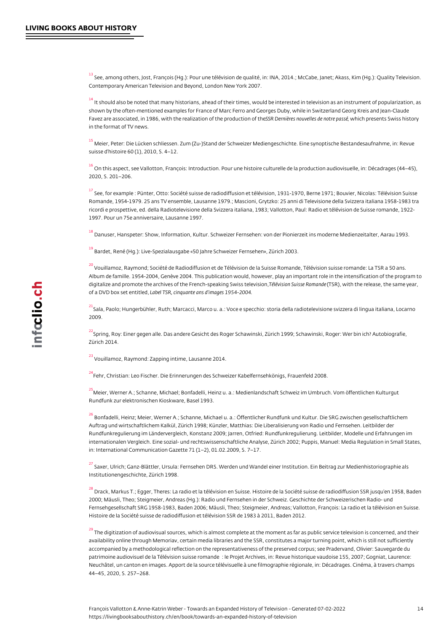<span id="page-13-0"></span> $^{\rm 13}$  See, among others, Jost, François (Hg.): Pour une télévision de qualité, in: INA, 2014.; McCabe, Ja Contemporary American Television and Beyond, London New York 2007.

 $14$  It should also be noted that many historians, ahead of their times, would be interested in televisior [s](#page-4-0)hown by the often-mentioned examples for France of Marc Ferro and Georges Duby, while in Switzer Favez are associated, in 1986, with the realizati8 6 RofDtehren iperresourcoiuovne ble sum the economieres permasséS wiss history in the format of TV news.

 $^{\rm 15}$  Meier, Peter: Die Lücken schliessen. Zum (Zu–)Stand der Schweizer Mediengeschichte. Eine synopti suisse d histoire 60 (1), 2010, S. 4 12.

 $^{\rm 16}$  On this aspect, see Vallotton, François: Introduction. Pour une histoire culturelle de la production [2](#page-4-0)020, S. 201 206.

 $\frac{17}{18}$  See, for example : Pünter, Otto: Société suisse de radiodiffusion et télévision, 1931–1970, Berne 1 [R](#page-4-0)omande, 1954-1979. 25 ans TV ensemble, Lausanne 1979.; Mascioni, Grytzko: 25 anni di Televisione ricordi e prospettive, ed. della Radiotelevisione della Svizzera italiana, 1983; Vallotton, Paul: Radio 1997. Pour un 75e anniversaire, Lausanne 1997.

 $^{\,18}$  Danuser, Hanspeter: Show, Information, Kultur. Schweizer Fernsehen: von der Pionierzeit ins model

<sup>19</sup> Bardet, René (Hg.): Live-Spezialausgabe «50 Jahre Schweizer Fernsehen», Zürich 2003.

 $^{\,20}$  $^{\,20}$  $^{\,20}$  Vouillamoz, Raymond; Société de Radiodiffusion et de Télévision de la Suisse Romande, Télévision Album de famille. 1954-2004, Genève 2004. This publication would, however, play an important role i [d](#page-5-0)igitalize and promote the archives of the French-Teéplé us ksing nessualises (dTe SR Row) mission combanded the release, the same year, of a DVD box set Labtet ITESR, cinquante ans d'images 1954-2004

 $^{21}$ Sala, Paolo; Hungerbühler, Ruth; Marcacci, Marco u. a.: Voce e specchio: storia della radiotelevisio 2009.

 $^{22}$ Spring, Roy: Einer gegen alle. Das andere Gesicht des Roger Schawinski, Zürich 1999; Schawinski, [Z](#page-5-0)ürich 2014.

<sup>23</sup> Vouillamoz, Raymond: Zapping intime, Lausanne 2014.

<sup>24</sup>Fehr, Christian: Leo Fischer. Die Erinnerungen des Schweizer Kabelfernsehkönigs, Frauenfeld 2008.

 $^{25}$  $^{25}$  $^{25}$ Meier, Werner A.; Schanne, Michael; Bonfadelli, Heinz u. a.: Medienlandschaft Schweiz im Umbruch. Rundfunk zur elektronischen Kioskware, Basel 1993.

 $^{\mathrm{26}}$  Bonfadelli, Heinz; Meier, Werner A.; Schanne, Michael u. a.: Öffentlicher Rundfunk und Kultur. Die [A](#page-5-0)uftrag und wirtschaftlichem Kalkül, Zürich 1998; Künzler, Matthias: Die Liberalisierung von Radio un Rundfunkregulierung im Ländervergleich, Konstanz 2009; Jarren, Otfried: Rundfunkregulierung. Leitbi internationalen Vergleich. Eine sozial- und rechtswissenschaftliche Analyse, Zürich 2002; Puppis, Ma [in](#page-6-0): International Communication Gazette 71 (1 2), 01.02.2009, S. 7 17.

 $^{27}$  Saxer, Ulrich; Ganz–Blättler, Ursula: Fernsehen DRS. Werden und Wandel einer Institution. Ein Beit Institutionengeschichte, Zürich 1998.

 $^{\,2\,8}$  Drack, Markus T.; Egger, Theres: La radio et la télévision en Suisse. Histoire de la Société suisse [2](#page-6-0)000; Mäusli, Theo; Steigmeier, Andreas (Hg.): Radio und Fernsehen in der Schweiz. Geschichte der Fernsehgesellschaft SRG 1958-1983, Baden 2006; Mäusli, Theo; Steigmeier, Andreas; Vallotton, Fran Histoire de la Société suisse de radiodiffusion et télévision SSR de 1983 à 2011, Baden 2012.

 $^{\,2\,9}$  The digitization of audiovisual sources, which is almost complete at the moment as far as public se availability online through Memoriav, certain media libraries and the SSR, constitutes a major turning accompanied by a methodological reflection on the representativeness of the preserved corpus; see P patrimoine audiovisuel de la Télévision suisse romande/: le Projet Archives, in: Revue historique vau [N](#page-6-0)euchâtel, un canton en images. Apport de la source télévisuelle à une filmographie régionale, in: De 44 45, 2020, S. 257 268.